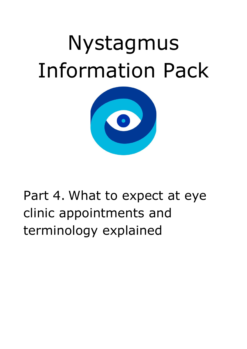# Nystagmus Information Pack



# Part 4. What to expect at eye clinic appointments and terminology explained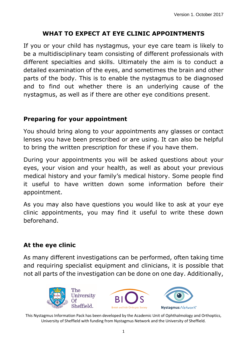# **WHAT TO EXPECT AT EYE CLINIC APPOINTMENTS**

If you or your child has nystagmus, your eye care team is likely to be a multidisciplinary team consisting of different professionals with different specialties and skills. Ultimately the aim is to conduct a detailed examination of the eyes, and sometimes the brain and other parts of the body. This is to enable the nystagmus to be diagnosed and to find out whether there is an underlying cause of the nystagmus, as well as if there are other eye conditions present.

#### **Preparing for your appointment**

You should bring along to your appointments any glasses or contact lenses you have been prescribed or are using. It can also be helpful to bring the written prescription for these if you have them.

During your appointments you will be asked questions about your eyes, your vision and your health, as well as about your previous medical history and your family's medical history. Some people find it useful to have written down some information before their appointment.

As you may also have questions you would like to ask at your eye clinic appointments, you may find it useful to write these down beforehand.

# **At the eye clinic**

As many different investigations can be performed, often taking time and requiring specialist equipment and clinicians, it is possible that not all parts of the investigation can be done on one day. Additionally,

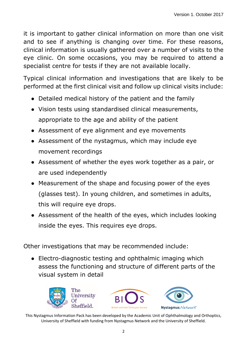it is important to gather clinical information on more than one visit and to see if anything is changing over time. For these reasons, clinical information is usually gathered over a number of visits to the eye clinic. On some occasions, you may be required to attend a specialist centre for tests if they are not available locally.

Typical clinical information and investigations that are likely to be performed at the first clinical visit and follow up clinical visits include:

- Detailed medical history of the patient and the family
- Vision tests using standardised clinical measurements, appropriate to the age and ability of the patient
- Assessment of eye alignment and eye movements
- Assessment of the nystagmus, which may include eye movement recordings
- Assessment of whether the eyes work together as a pair, or are used independently
- Measurement of the shape and focusing power of the eyes (glasses test). In young children, and sometimes in adults, this will require eye drops.
- Assessment of the health of the eyes, which includes looking inside the eyes. This requires eye drops.

Other investigations that may be recommended include:

• Electro-diagnostic testing and ophthalmic imaging which assess the functioning and structure of different parts of the visual system in detail





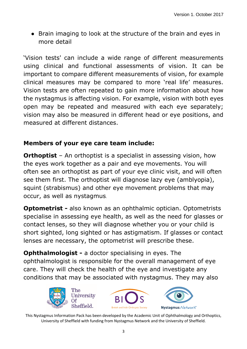• Brain imaging to look at the structure of the brain and eyes in more detail

'Vision tests' can include a wide range of different measurements using clinical and functional assessments of vision. It can be important to compare different measurements of vision, for example clinical measures may be compared to more 'real life' measures. Vision tests are often repeated to gain more information about how the nystagmus is affecting vision. For example, vision with both eyes open may be repeated and measured with each eye separately; vision may also be measured in different head or eye positions, and measured at different distances.

# **Members of your eye care team include:**

**Orthoptist** – An orthoptist is a specialist in assessing vision, how the eyes work together as a pair and eye movements. You will often see an orthoptist as part of your eye clinic visit, and will often see them first. The orthoptist will diagnose lazy eye (amblyopia), squint (strabismus) and other eye movement problems that may occur, as well as nystagmus.

**Optometrist -** also known as an ophthalmic optician. Optometrists specialise in assessing eye health, as well as the need for glasses or contact lenses, so they will diagnose whether you or your child is short sighted, long sighted or has astigmatism. If glasses or contact lenses are necessary, the optometrist will prescribe these.

**Ophthalmologist -** a doctor specialising in eyes. The ophthalmologist is responsible for the overall management of eye care. They will check the health of the eye and investigate any conditions that may be associated with nystagmus. They may also





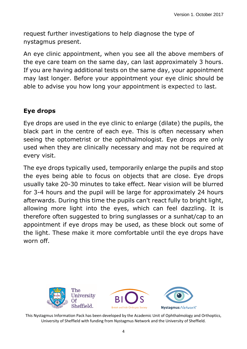request further investigations to help diagnose the type of nystagmus present.

An eye clinic appointment, when you see all the above members of the eye care team on the same day, can last approximately 3 hours. If you are having additional tests on the same day, your appointment may last longer. Before your appointment your eye clinic should be able to advise you how long your appointment is expected to last.

#### **Eye drops**

Eye drops are used in the eye clinic to enlarge (dilate) the pupils, the black part in the centre of each eye. This is often necessary when seeing the optometrist or the ophthalmologist. Eye drops are only used when they are clinically necessary and may not be required at every visit.

The eye drops typically used, temporarily enlarge the pupils and stop the eyes being able to focus on objects that are close. Eye drops usually take 20-30 minutes to take effect. Near vision will be blurred for 3-4 hours and the pupil will be large for approximately 24 hours afterwards. During this time the pupils can't react fully to bright light, allowing more light into the eyes, which can feel dazzling. It is therefore often suggested to bring sunglasses or a sunhat/cap to an appointment if eye drops may be used, as these block out some of the light. These make it more comfortable until the eye drops have worn off.

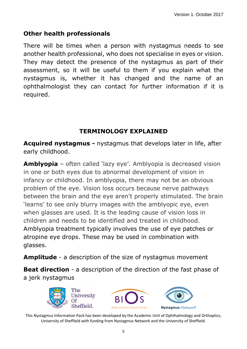#### **Other health professionals**

There will be times when a person with nystagmus needs to see another health professional, who does not specialise in eyes or vision. They may detect the presence of the nystagmus as part of their assessment, so it will be useful to them if you explain what the nystagmus is, whether it has changed and the name of an ophthalmologist they can contact for further information if it is required.

# **TERMINOLOGY EXPLAINED**

**Acquired nystagmus -** nystagmus that develops later in life, after early childhood.

**Amblyopia** – often called 'lazy eye'. Amblyopia is decreased vision in one or both eyes due to abnormal development of vision in infancy or childhood. In amblyopia, there may not be an obvious problem of the eye. Vision loss occurs because nerve pathways between the brain and the eye aren't properly stimulated. The brain 'learns' to see only blurry images with the amblyopic eye, even when glasses are used. It is the leading cause of vision loss in children and needs to be identified and treated in childhood. Amblyopia treatment typically involves the use of eye patches or atropine eye drops. These may be used in combination with glasses.

**Amplitude** - a description of the size of nystagmus movement

**Beat direction** - a description of the direction of the fast phase of a jerk nystagmus





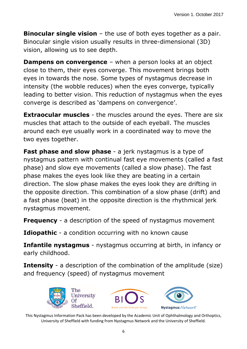**Binocular single vision** – the use of both eyes together as a pair. Binocular single vision usually results in three-dimensional (3D) vision, allowing us to see depth.

**Dampens on convergence** – when a person looks at an object close to them, their eyes converge. This movement brings both eyes in towards the nose. Some types of nystagmus decrease in intensity (the wobble reduces) when the eyes converge, typically leading to better vision. This reduction of nystagmus when the eyes converge is described as 'dampens on convergence'.

**Extraocular muscles** - the muscles around the eyes. There are six muscles that attach to the outside of each eyeball. The muscles around each eye usually work in a coordinated way to move the two eyes together.

**Fast phase and slow phase** - a jerk nystagmus is a type of nystagmus pattern with continual fast eye movements (called a fast phase) and slow eye movements (called a slow phase). The fast phase makes the eyes look like they are beating in a certain direction. The slow phase makes the eyes look they are drifting in the opposite direction. This combination of a slow phase (drift) and a fast phase (beat) in the opposite direction is the rhythmical jerk nystagmus movement.

**Frequency** - a description of the speed of nystagmus movement

**Idiopathic** - a condition occurring with no known cause

**Infantile nystagmus** - nystagmus occurring at birth, in infancy or early childhood.

**Intensity** - a description of the combination of the amplitude (size) and frequency (speed) of nystagmus movement

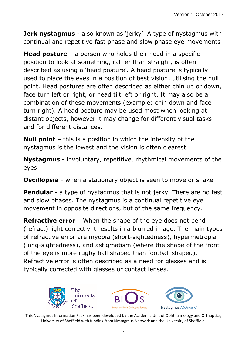**Jerk nystagmus** - also known as 'jerky'. A type of nystagmus with continual and repetitive fast phase and slow phase eye movements

**Head posture** – a person who holds their head in a specific position to look at something, rather than straight, is often described as using a 'head posture'. A head posture is typically used to place the eyes in a position of best vision, utilising the null point. Head postures are often described as either chin up or down, face turn left or right, or head tilt left or right. It may also be a combination of these movements (example: chin down and face turn right). A head posture may be used most when looking at distant objects, however it may change for different visual tasks and for different distances.

**Null point** – this is a position in which the intensity of the nystagmus is the lowest and the vision is often clearest

**Nystagmus** - involuntary, repetitive, rhythmical movements of the eyes

**Oscillopsia** - when a stationary object is seen to move or shake

**Pendular** - a type of nystagmus that is not jerky. There are no fast and slow phases. The nystagmus is a continual repetitive eye movement in opposite directions, but of the same frequency.

**Refractive error** – When the shape of the eye does not bend (refract) light correctly it results in a blurred image. The main types of refractive error are myopia (short-sightedness), hypermetropia (long-sightedness), and astigmatism (where the shape of the front of the eye is more rugby ball shaped than football shaped). Refractive error is often described as a need for glasses and is typically corrected with glasses or contact lenses.